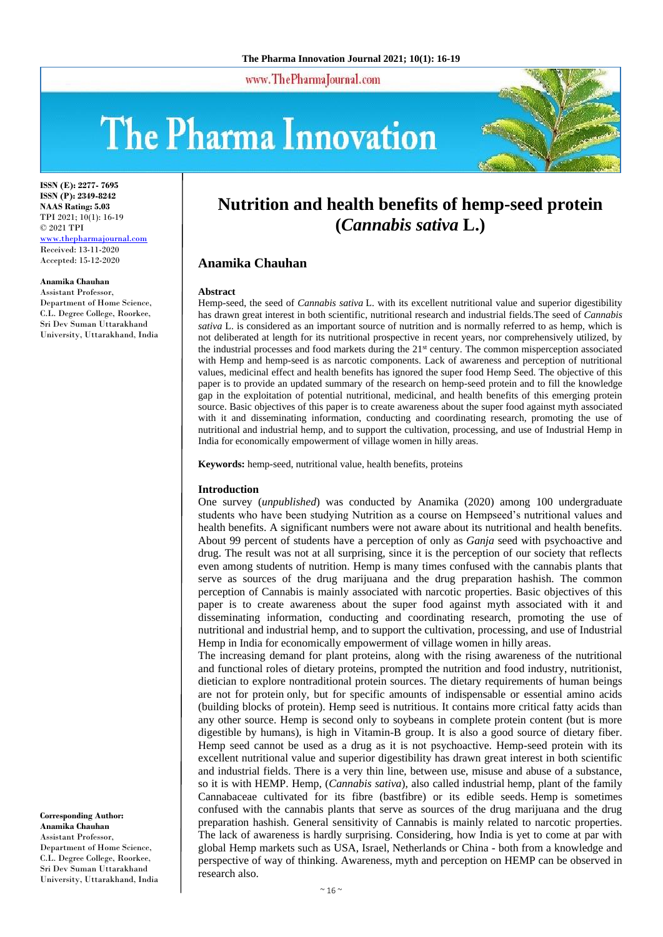www.ThePharmaJournal.com

# The Pharma Innovation



**ISSN (E): 2277- 7695 ISSN (P): 2349-8242 NAAS Rating: 5.03** TPI 2021; 10(1): 16-19 © 2021 TPI <www.thepharmajournal.com> Received: 13-11-2020 Accepted: 15-12-2020

#### **Anamika Chauhan**

Assistant Professor, Department of Home Science, C.L. Degree College, Roorkee, Sri Dev Suman Uttarakhand University, Uttarakhand, India **Nutrition and health benefits of hemp-seed protein (***Cannabis sativa* **L.)**

## **Anamika Chauhan**

#### **Abstract**

Hemp-seed, the seed of *Cannabis sativa* L. with its excellent nutritional value and superior digestibility has drawn great interest in both scientific, nutritional research and industrial fields.The seed of *Cannabis sativa* L. is considered as an important source of nutrition and is normally referred to as hemp, which is not deliberated at length for its nutritional prospective in recent years, nor comprehensively utilized, by the industrial processes and food markets during the 21st century. The common misperception associated with Hemp and hemp-seed is as narcotic components. Lack of awareness and perception of nutritional values, medicinal effect and health benefits has ignored the super food Hemp Seed. The objective of this paper is to provide an updated summary of the research on hemp-seed protein and to fill the knowledge gap in the exploitation of potential nutritional, medicinal, and health benefits of this emerging protein source. Basic objectives of this paper is to create awareness about the super food against myth associated with it and disseminating information, conducting and coordinating research, promoting the use of nutritional and industrial hemp, and to support the cultivation, processing, and use of Industrial Hemp in India for economically empowerment of village women in hilly areas.

**Keywords:** hemp-seed, nutritional value, health benefits, proteins

#### **Introduction**

One survey (*unpublished*) was conducted by Anamika (2020) among 100 undergraduate students who have been studying Nutrition as a course on Hempseed's nutritional values and health benefits. A significant numbers were not aware about its nutritional and health benefits. About 99 percent of students have a perception of only as *Ganja* seed with psychoactive and drug. The result was not at all surprising, since it is the perception of our society that reflects even among students of nutrition. Hemp is many times confused with the cannabis plants that serve as sources of the drug marijuana and the drug preparation hashish. The common perception of Cannabis is mainly associated with narcotic properties. Basic objectives of this paper is to create awareness about the super food against myth associated with it and disseminating information, conducting and coordinating research, promoting the use of nutritional and industrial hemp, and to support the cultivation, processing, and use of Industrial Hemp in India for economically empowerment of village women in hilly areas.

The increasing demand for plant proteins, along with the rising awareness of the nutritional and functional roles of dietary proteins, prompted the nutrition and food industry, nutritionist, dietician to explore nontraditional protein sources. The dietary requirements of human beings are not for protein only, but for specific amounts of indispensable or essential amino acids (building blocks of protein). Hemp seed is nutritious. It contains more critical fatty acids than any other source. Hemp is second only to soybeans in complete protein content (but is more digestible by humans), is high in Vitamin-B group. It is also a good source of dietary fiber. Hemp seed cannot be used as a drug as it is not psychoactive. Hemp-seed protein with its excellent nutritional value and superior digestibility has drawn great interest in both scientific and industrial fields. There is a very thin line, between use, misuse and abuse of a substance, so it is with HEMP. Hemp, (*Cannabis sativa*), also called industrial hemp, plant of the family Cannabaceae cultivated for its fibre (bastfibre) or its edible seeds. Hemp is sometimes confused with the cannabis plants that serve as sources of the drug marijuana and the drug preparation hashish. General sensitivity of Cannabis is mainly related to narcotic properties. The lack of awareness is hardly surprising. Considering, how India is yet to come at par with global Hemp markets such as USA, Israel, Netherlands or China - both from a knowledge and perspective of way of thinking. Awareness, myth and perception on HEMP can be observed in research also.

**Corresponding Author: Anamika Chauhan** Assistant Professor, Department of Home Science, C.L. Degree College, Roorkee, Sri Dev Suman Uttarakhand University, Uttarakhand, India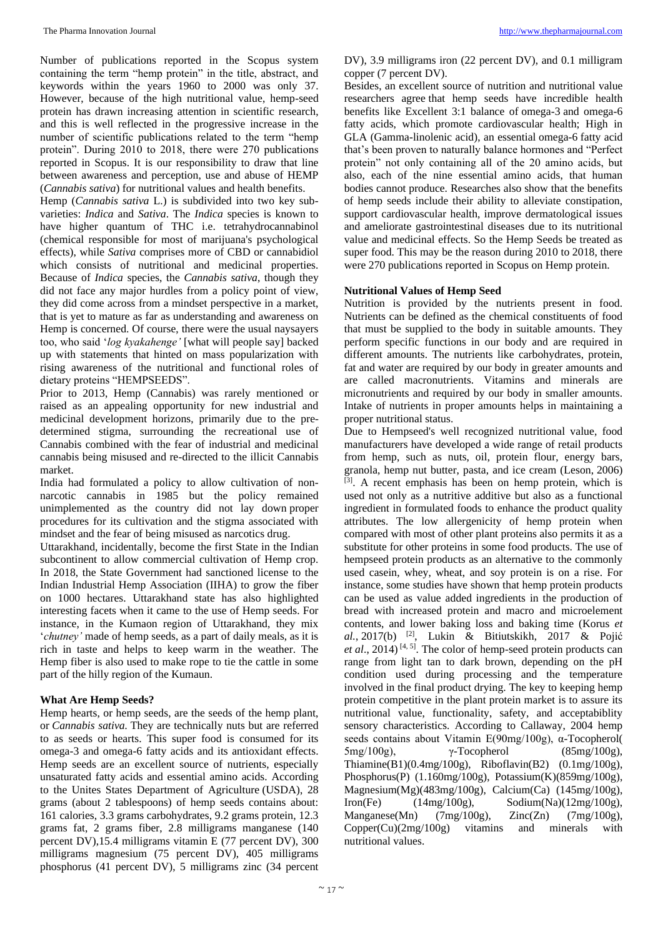Number of publications reported in the Scopus system containing the term "hemp protein" in the title, abstract, and keywords within the years 1960 to 2000 was only 37. However, because of the high nutritional value, hemp-seed protein has drawn increasing attention in scientific research, and this is well reflected in the progressive increase in the number of scientific publications related to the term "hemp protein". During 2010 to 2018, there were 270 publications reported in Scopus. It is our responsibility to draw that line between awareness and perception, use and abuse of HEMP (*Cannabis sativa*) for nutritional values and health benefits.

Hemp (*Cannabis sativa* L.) is subdivided into two key subvarieties: *Indica* and *Sativa*. The *Indica* species is known to have higher quantum of THC i.e. tetrahydrocannabinol (chemical responsible for most of marijuana's psychological effects), while *Sativa* comprises more of CBD or cannabidiol which consists of nutritional and medicinal properties. Because of *Indica* species, the *Cannabis sativa*, though they did not face any major hurdles from a policy point of view, they did come across from a mindset perspective in a market, that is yet to mature as far as understanding and awareness on Hemp is concerned. Of course, there were the usual naysayers too, who said '*log kyakahenge'* [what will people say] backed up with statements that hinted on mass popularization with rising awareness of the nutritional and functional roles of dietary proteins "HEMPSEEDS".

Prior to 2013, Hemp (Cannabis) was rarely mentioned or raised as an appealing opportunity for new industrial and medicinal development horizons, primarily due to the predetermined stigma, surrounding the recreational use of Cannabis combined with the fear of industrial and medicinal cannabis being misused and re-directed to the illicit Cannabis market.

India had formulated a policy to allow cultivation of nonnarcotic cannabis in 1985 but the policy remained unimplemented as the country did not lay down proper procedures for its cultivation and the stigma associated with mindset and the fear of being misused as narcotics drug.

Uttarakhand, incidentally, become the first State in the Indian subcontinent to allow commercial cultivation of Hemp crop. In 2018, the State Government had sanctioned license to the Indian Industrial Hemp Association (IIHA) to grow the fiber on 1000 hectares. Uttarakhand state has also highlighted interesting facets when it came to the use of Hemp seeds. For instance, in the Kumaon region of Uttarakhand, they mix '*chutney'* made of hemp seeds, as a part of daily meals, as it is rich in taste and helps to keep warm in the weather. The Hemp fiber is also used to make rope to tie the cattle in some part of the hilly region of the Kumaun.

## **What Are Hemp Seeds?**

Hemp hearts, or hemp seeds, are the seeds of the hemp plant, or *Cannabis sativa.* They are technically nuts but are referred to as seeds or hearts. This super food is consumed for its omega-3 and omega-6 fatty acids and its antioxidant effects. Hemp seeds are an excellent source of nutrients, especially unsaturated fatty acids and essential amino acids. According to the Unites States Department of Agriculture (USDA), 28 grams (about 2 tablespoons) of hemp seeds contains about: 161 calories, 3.3 grams carbohydrates, 9.2 grams protein, 12.3 grams fat, 2 grams fiber, 2.8 milligrams manganese (140 percent DV),15.4 milligrams vitamin E (77 percent DV), 300 milligrams magnesium (75 percent DV), 405 milligrams phosphorus (41 percent DV), 5 milligrams zinc (34 percent

DV), 3.9 milligrams iron (22 percent DV), and 0.1 milligram copper (7 percent DV).

Besides, an excellent source of nutrition and nutritional value researchers agree that hemp seeds have incredible health benefits like Excellent 3:1 balance of omega-3 and omega-6 fatty acids, which promote cardiovascular health; High in GLA (Gamma-linolenic acid), an essential omega-6 fatty acid that's been proven to naturally balance hormones and "Perfect protein" not only containing all of the 20 amino acids, but also, each of the nine essential amino acids, that human bodies cannot produce. Researches also show that the benefits of hemp seeds include their ability to alleviate constipation, support cardiovascular health, improve dermatological issues and ameliorate gastrointestinal diseases due to its nutritional value and medicinal effects. So the Hemp Seeds be treated as super food. This may be the reason during 2010 to 2018, there were 270 publications reported in Scopus on Hemp protein.

## **Nutritional Values of Hemp Seed**

Nutrition is provided by the nutrients present in food. Nutrients can be defined as the chemical constituents of food that must be supplied to the body in suitable amounts. They perform specific functions in our body and are required in different amounts. The nutrients like carbohydrates, protein, fat and water are required by our body in greater amounts and are called macronutrients. Vitamins and minerals are micronutrients and required by our body in smaller amounts. Intake of nutrients in proper amounts helps in maintaining a proper nutritional status.

Due to Hempseed's well recognized nutritional value, food manufacturers have developed a wide range of retail products from hemp, such as nuts, oil, protein flour, energy bars, granola, hemp nut butter, pasta, and ice cream (Leson, 2006)  $^{[3]}$ . A recent emphasis has been on hemp protein, which is used not only as a nutritive additive but also as a functional ingredient in formulated foods to enhance the product quality attributes. The low allergenicity of hemp protein when compared with most of other plant proteins also permits it as a substitute for other proteins in some food products. The use of hempseed protein products as an alternative to the commonly used casein, whey, wheat, and soy protein is on a rise. For instance, some studies have shown that hemp protein products can be used as value added ingredients in the production of bread with increased protein and macro and microelement contents, and lower baking loss and baking time (Korus *et al.*, 2017(b) [2], Lukin & Bitiutskikh, 2017 & Pojić *et al*., 2014) [4, 5]. The color of hemp-seed protein products can range from light tan to dark brown, depending on the pH condition used during processing and the temperature involved in the final product drying. The key to keeping hemp protein competitive in the plant protein market is to assure its nutritional value, functionality, safety, and acceptabiblity sensory characteristics. According to Callaway, 2004 hemp seeds contains about Vitamin E(90mg/100g), α-Tocopherol(  $5mg/100g$ ),  $\gamma$ -Tocopherol (85mg/100g),  $\text{Thiamine}(B1)(0.4\text{mg}/100\text{g})$ ,  $\text{Riboflavin}(B2)$   $(0.1\text{mg}/100\text{g})$ , Phosphorus(P) (1.160mg/100g), Potassium(K)(859mg/100g), Magnesium(Mg)(483mg/100g), Calcium(Ca) (145mg/100g), Iron(Fe)  $(14mg/100g)$ , Sodium(Na)( $12mg/100g$ ), Manganese(Mn) (7mg/100g), Zinc(Zn) (7mg/100g), Copper(Cu)(2mg/100g) vitamins and minerals with nutritional values.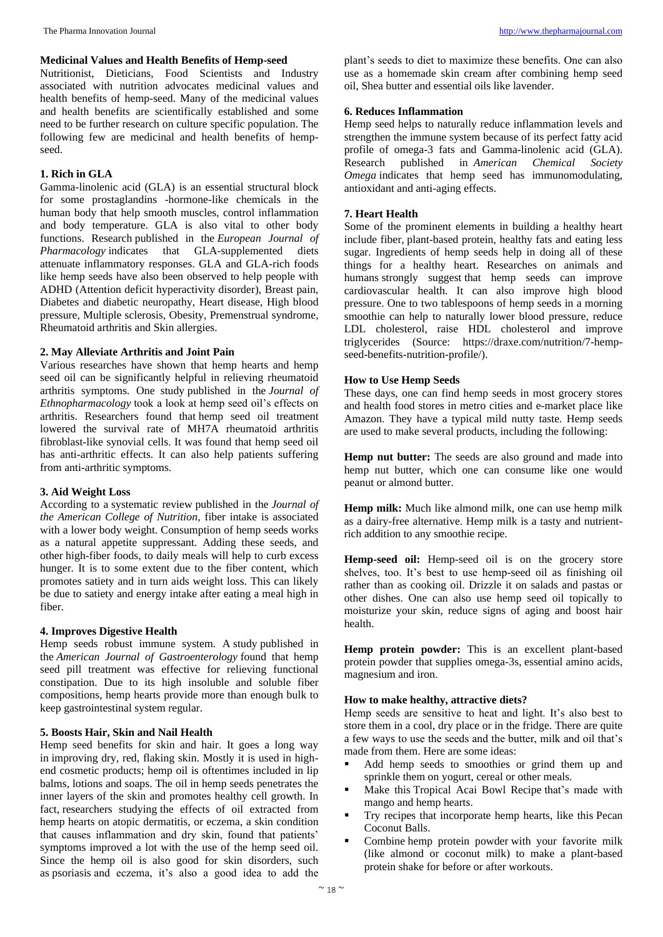#### **Medicinal Values and Health Benefits of Hemp-seed**

Nutritionist, Dieticians, Food Scientists and Industry associated with nutrition advocates medicinal values and health benefits of hemp-seed. Many of the medicinal values and health benefits are scientifically established and some need to be further research on culture specific population. The following few are medicinal and health benefits of hempseed.

# **1. Rich in GLA**

Gamma-linolenic acid (GLA) is an essential structural block for some prostaglandins -hormone-like chemicals in the human body that help smooth muscles, control inflammation and body temperature. GLA is also vital to other body functions. Research published in the *European Journal of Pharmacology* indicates that GLA-supplemented diets attenuate inflammatory responses. GLA and GLA-rich foods like hemp seeds have also been observed to help people with ADHD (Attention deficit hyperactivity disorder), Breast pain, Diabetes and diabetic neuropathy, Heart disease, High blood pressure, Multiple sclerosis, Obesity, Premenstrual syndrome, Rheumatoid arthritis and Skin allergies.

# **2. May Alleviate Arthritis and Joint Pain**

Various researches have shown that hemp hearts and hemp seed oil can be significantly helpful in relieving rheumatoid arthritis symptoms. One study published in the *Journal of Ethnopharmacology* took a look at hemp seed oil's effects on arthritis. Researchers found that hemp seed oil treatment lowered the survival rate of MH7A rheumatoid arthritis fibroblast-like synovial cells. It was found that hemp seed oil has anti-arthritic effects. It can also help patients suffering from anti-arthritic symptoms.

# **3. Aid Weight Loss**

According to a systematic review published in the *Journal of the American College of Nutrition*, fiber intake is associated with a lower body weight. Consumption of hemp seeds works as a natural appetite suppressant. Adding these seeds, and other high-fiber foods, to daily meals will help to curb excess hunger. It is to some extent due to the fiber content, which promotes satiety and in turn aids weight loss. This can likely be due to satiety and energy intake after eating a meal high in fiber.

# **4. Improves Digestive Health**

Hemp seeds robust immune system. A study published in the *American Journal of Gastroenterology* found that hemp seed pill treatment was effective for relieving functional constipation. Due to its high insoluble and soluble fiber compositions, hemp hearts provide more than enough bulk to keep gastrointestinal system regular.

# **5. Boosts Hair, Skin and Nail Health**

Hemp seed benefits for skin and hair. It goes a long way in improving dry, red, flaking skin. Mostly it is used in highend cosmetic products; hemp oil is oftentimes included in lip balms, lotions and soaps. The oil in hemp seeds penetrates the inner layers of the skin and promotes healthy cell growth. In fact, researchers studying the effects of oil extracted from hemp hearts on atopic dermatitis, or eczema, a skin condition that causes inflammation and dry skin, found that patients' symptoms improved a lot with the use of the hemp seed oil. Since the hemp oil is also good for skin disorders, such as psoriasis and eczema, it's also a good idea to add the

plant's seeds to diet to maximize these benefits. One can also use as a homemade skin cream after combining hemp seed oil, Shea butter and essential oils like lavender.

# **6. Reduces Inflammation**

Hemp seed helps to naturally reduce inflammation levels and strengthen the immune system because of its perfect fatty acid profile of omega-3 fats and Gamma-linolenic acid (GLA). Research published in *American Chemical Society Omega* indicates that hemp seed has immunomodulating, antioxidant and anti-aging effects.

# **7. Heart Health**

Some of the prominent elements in building a healthy heart include fiber, plant-based protein, healthy fats and eating less sugar. Ingredients of hemp seeds help in doing all of these things for a healthy heart. Researches on animals and humans strongly suggest that hemp seeds can improve cardiovascular health. It can also improve high blood pressure. One to two tablespoons of hemp seeds in a morning smoothie can help to naturally lower blood pressure, reduce LDL cholesterol, raise HDL cholesterol and improve triglycerides (Source: https://draxe.com/nutrition/7-hempseed-benefits-nutrition-profile/).

## **How to Use Hemp Seeds**

These days, one can find hemp seeds in most grocery stores and health food stores in metro cities and e-market place like Amazon. They have a typical mild nutty taste. Hemp seeds are used to make several products, including the following:

**Hemp nut butter:** The seeds are also ground and made into hemp nut butter, which one can consume like one would peanut or almond butter.

**Hemp milk:** Much like almond milk, one can use hemp milk as a dairy-free alternative. Hemp milk is a tasty and nutrientrich addition to any smoothie recipe.

**Hemp-seed oil:** Hemp-seed oil is on the grocery store shelves, too. It's best to use hemp-seed oil as finishing oil rather than as cooking oil. Drizzle it on salads and pastas or other dishes. One can also use hemp seed oil topically to moisturize your skin, reduce signs of aging and boost hair health.

**Hemp protein powder:** This is an excellent plant-based protein powder that supplies omega-3s, essential amino acids, magnesium and iron.

## **How to make healthy, attractive diets?**

Hemp seeds are sensitive to heat and light. It's also best to store them in a cool, dry place or in the fridge. There are quite a few ways to use the seeds and the butter, milk and oil that's made from them. Here are some ideas:

- Add hemp seeds to smoothies or grind them up and sprinkle them on yogurt, cereal or other meals.
- Make this Tropical Acai Bowl Recipe that's made with mango and hemp hearts.
- Try recipes that incorporate hemp hearts, like this Pecan Coconut Balls.
- Combine hemp protein powder with your favorite milk (like almond or coconut milk) to make a plant-based protein shake for before or after workouts.